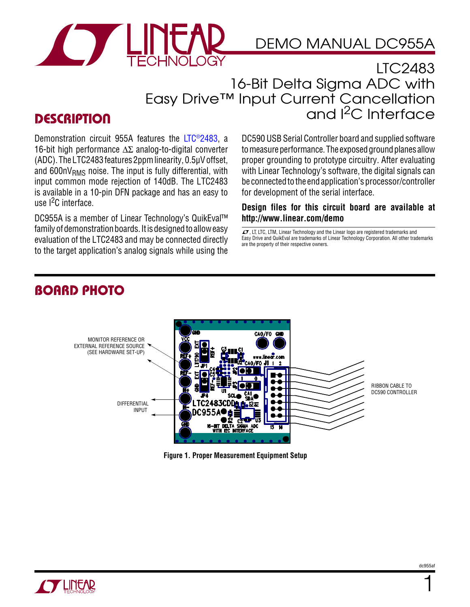

## DEMO MANUAL DC955A

### LTC2483 16-Bit Delta Sigma ADC with Easy Drive™ Input Current Cancellation and I<sup>2</sup>C Interface

### **DESCRIPTION**

Demonstration circuit 955A features the [LTC®2483,](http://www.linear.com/LTC2483) a 16-bit high performance  $\Delta \Sigma$  analog-to-digital converter (ADC). TheLTC2483features 2ppmlinearity, 0.5μVoffset, and  $600nV<sub>RMS</sub>$  noise. The input is fully differential, with input common mode rejection of 140dB. The LTC2483 is available in a 10-pin DFN package and has an easy to use l<sup>2</sup>C interface.

DC955A is a member of Linear Technology's QuikEval™ family of demonstration boards. It is designed to allow easy evaluation of the LTC2483 and may be connected directly to the target application's analog signals while using the DC590 USB Serial Controller board and supplied software to measure performance. The exposed ground planes allow proper grounding to prototype circuitry. After evaluating with Linear Technology's software, the digital signals can be connected to the end application's processor/controller for development of the serial interface.

#### **Design files for this circuit board are available at <http://www.linear.com/demo>**

 $\sqrt{J}$ , LT, LTC, LTM, Linear Technology and the Linear logo are registered trademarks and Easy Drive and QuikEval are trademarks of Linear Technology Corporation. All other trademarks are the property of their respective owners.

### Board Photo



**Figure 1. Proper Measurement Equipment Setup**



1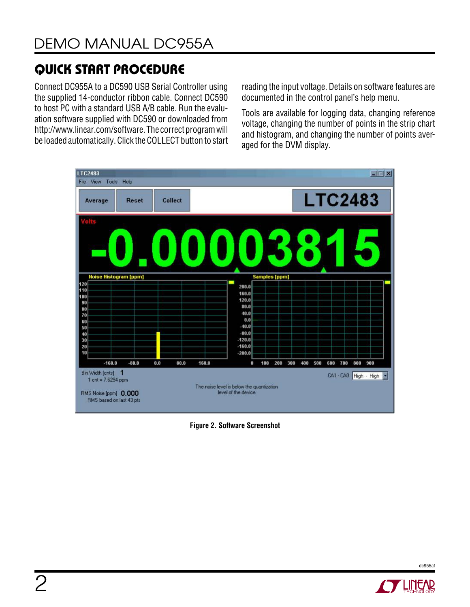# Quick Start Procedure

Connect DC955A to a DC590 USB Serial Controller using the supplied 14-conductor ribbon cable. Connect DC590 to host PC with a standard USB A/B cable. Run the evaluation software supplied with DC590 or downloaded from http://www.linear.com/software. The correct program will be loaded automatically. Click the COLLECT button to start

reading the input voltage. Details on software features are documented in the control panel's help menu.

Tools are available for logging data, changing reference voltage, changing the number of points in the strip chart and histogram, and changing the number of points averaged for the DVM display.



**Figure 2. Software Screenshot**



dc955af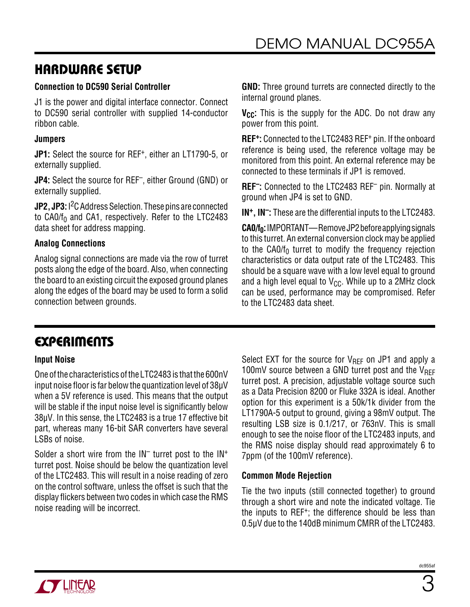### Hardware Setup

#### **Connection to DC590 Serial Controller**

J1 is the power and digital interface connector. Connect to DC590 serial controller with supplied 14-conductor ribbon cable.

#### **Jumpers**

**JP1:** Select the source for REF+, either an LT1790-5, or externally supplied.

**JP4:** Select the source for REF–, either Ground (GND) or externally supplied.

**JP2, JP3:** I<sup>2</sup>C Address Selection. These pins are connected to  $CA0/f_0$  and CA1, respectively. Refer to the LTC2483 data sheet for address mapping.

#### **Analog Connections**

Analog signal connections are made via the row of turret posts along the edge of the board. Also, when connecting the board to an existing circuit the exposed ground planes along the edges of the board may be used to form a solid connection between grounds.

**GND:** Three ground turrets are connected directly to the internal ground planes.

**V<sub>CC</sub>:** This is the supply for the ADC. Do not draw any power from this point.

**REF+:** Connected to the LTC2483 REF<sup>+</sup> pin. If the onboard reference is being used, the reference voltage may be monitored from this point. An external reference may be connected to these terminals if JP1 is removed.

**REF–:** Connected to the LTC2483 REF– pin. Normally at ground when JP4 is set to GND.

**IN+, IN–:** These are the differential inputs to the LTC2483.

**CA0/f<sub>0</sub>:** IMPORTANT—Remove JP2 before applying signals to this turret. An external conversion clock may be applied to the  $CAO/f<sub>0</sub>$  turret to modify the frequency rejection characteristics or data output rate of the LTC2483. This should be a square wave with a low level equal to ground and a high level equal to  $V_{CC}$ . While up to a 2MHz clock can be used, performance may be compromised. Refer to the LTC2483 data sheet.

### **EXPERIMENTS**

#### **Input Noise**

One ofthe characteristics ofthe LTC2483 is thatthe 600nV input noise floor is far below the quantization level of  $38\mu$ V when a 5V reference is used. This means that the output will be stable if the input noise level is significantly below 38µV. In this sense, the LTC2483 is a true 17 effective bit part, whereas many 16-bit SAR converters have several LSBs of noise.

Solder a short wire from the  $IN^-$  turret post to the  $IN^+$ turret post. Noise should be below the quantization level of the LTC2483. This will result in a noise reading of zero on the control software, unless the offset is such that the display flickers between two codes inwhich case the RMS noise reading will be incorrect.

Select EXT for the source for  $V_{RFF}$  on JP1 and apply a 100mV source between a GND turret post and the  $V_{REF}$ turret post. A precision, adjustable voltage source such as a Data Precision 8200 or Fluke 332A is ideal. Another option for this experiment is a 50k/1k divider from the LT1790A-5 output to ground, giving a 98mV output. The resulting LSB size is 0.1/217, or 763nV. This is small enough to see the noise floor of the LTC2483 inputs, and the RMS noise display should read approximately 6 to 7ppm (of the 100mV reference).

#### **Common Mode Rejection**

Tie the two inputs (still connected together) to ground through a short wire and note the indicated voltage. Tie the inputs to REF+; the difference should be less than 0.5μV due to the 140dB minimum CMRR of the LTC2483.

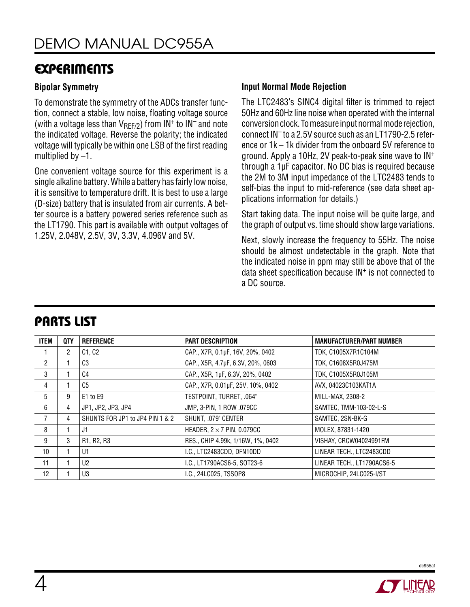### **EXPERIMENTS**

#### **Bipolar Symmetry**

To demonstrate the symmetry of the ADCs transfer function, connect a stable, low noise, floating voltage source (with a voltage less than  $V_{\text{RFF/2}}$ ) from IN<sup>+</sup> to IN<sup>-</sup> and note the indicated voltage. Reverse the polarity; the indicated voltage will typically be within one LSB of the first reading multiplied by –1.

One convenient voltage source for this experiment is a single alkaline battery. While a battery has fairly lownoise, it is sensitive to temperature drift. It is best to use a large (D-size) battery that is insulated from air currents. A better source is a battery powered series reference such as the LT1790. This part is available with output voltages of 1.25V, 2.048V, 2.5V, 3V, 3.3V, 4.096V and 5V.

#### **Input Normal Mode Rejection**

The LTC2483's SINC4 digital filter is trimmed to reject 50Hz and 60Hzline noise when operated with the internal conversion clock. To measure input normal mode rejection, connect IN– to a 2.5V source such as an LT1790-2.5 reference or 1k – 1k divider from the onboard 5V reference to ground. Apply a 10Hz, 2V peak-to-peak sine wave to IN+ through a 1µF capacitor. No DC bias is required because the 2M to 3M input impedance of the LTC2483 tends to self-bias the input to mid-reference (see data sheet applications information for details.)

Start taking data. The input noise will be quite large, and the graph of output vs. time should show large variations.

Next, slowly increase the frequency to 55Hz. The noise should be almost undetectable in the graph. Note that the indicated noise in ppm may still be above that of the data sheet specification because IN+ is not connected to a DC source.

| ITEM           | QTY | <b>REFERENCE</b>                | <b>PART DESCRIPTION</b>           | <b>MANUFACTURER/PART NUMBER</b> |
|----------------|-----|---------------------------------|-----------------------------------|---------------------------------|
|                | 2   | C1, C2                          | CAP., X7R, 0.1µF, 16V, 20%, 0402  | TDK, C1005X7R1C104M             |
| $\overline{2}$ |     | C <sub>3</sub>                  | CAP., X5R, 4.7µF, 6.3V, 20%, 0603 | TDK, C1608X5R0J475M             |
| 3              |     | C4                              | CAP., X5R, 1µF, 6.3V, 20%, 0402   | TDK, C1005X5R0J105M             |
| 4              |     | C <sub>5</sub>                  | CAP., X7R, 0.01µF, 25V, 10%, 0402 | AVX, 04023C103KAT1A             |
| 5              | 9   | E1 to E9                        | TESTPOINT, TURRET, .064"          | MILL-MAX, 2308-2                |
| 6              | 4   | JP1, JP2, JP3, JP4              | JMP, 3-PIN, 1 ROW .079CC          | SAMTEC, TMM-103-02-L-S          |
| 7              | 4   | SHUNTS FOR JP1 to JP4 PIN 1 & 2 | SHUNT, .079" CENTER               | SAMTEC, 2SN-BK-G                |
| 8              |     | J1                              | HEADER, $2 \times 7$ PIN, 0.079CC | MOLEX, 87831-1420               |
| 9              | 3   | R1, R2, R3                      | RES., CHIP 4.99k, 1/16W, 1%, 0402 | VISHAY, CRCW04024991FM          |
| 10             |     | U1                              | I.C., LTC2483CDD, DFN10DD         | LINEAR TECH., LTC2483CDD        |
| 11             |     | U <sub>2</sub>                  | I.C., LT1790ACS6-5, SOT23-6       | LINEAR TECH., LT1790ACS6-5      |
| 12             |     | U3                              | I.C., 24LC025, TSSOP8             | MICROCHIP, 24LC025-I/ST         |

### Parts List



dc955af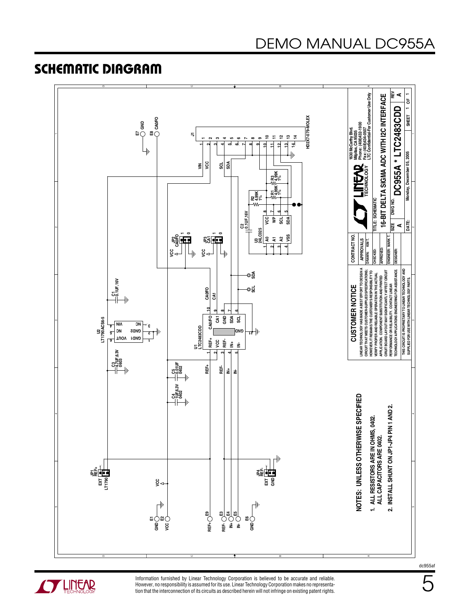## DEMO MANUAL DC955A

### Schematic Diagram





Information furnished by Linear Technology Corporation is believed to be accurate and reliable. However, no responsibility is assumed for its use. Linear Technology Corporation makes no representation that the interconnection of its circuits as described herein will not infringe on existing patent rights. dc955af

5